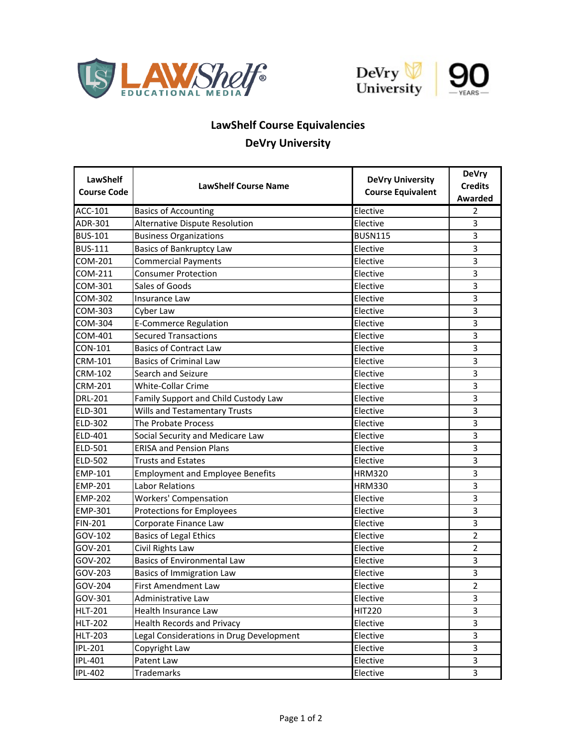





## **LawShelf Course Equivalencies DeVry University**

| <b>LawShelf</b><br><b>Course Code</b> | <b>LawShelf Course Name</b>              | <b>DeVry University</b>  | <b>DeVry</b><br><b>Credits</b> |
|---------------------------------------|------------------------------------------|--------------------------|--------------------------------|
|                                       |                                          | <b>Course Equivalent</b> | <b>Awarded</b>                 |
| ACC-101                               | <b>Basics of Accounting</b>              | Elective                 | 2                              |
| ADR-301                               | Alternative Dispute Resolution           | Elective                 | 3                              |
| <b>BUS-101</b>                        | <b>Business Organizations</b>            | <b>BUSN115</b>           | 3                              |
| <b>BUS-111</b>                        | Basics of Bankruptcy Law                 | Elective                 | 3                              |
| COM-201                               | <b>Commercial Payments</b>               | Elective                 | 3                              |
| COM-211                               | <b>Consumer Protection</b>               | Elective                 | 3                              |
| COM-301                               | Sales of Goods                           | Elective                 | 3                              |
| COM-302                               | Insurance Law                            | Elective                 | 3                              |
| COM-303                               | Cyber Law                                | Elective                 | 3                              |
| COM-304                               | E-Commerce Regulation                    | Elective                 | 3                              |
| COM-401                               | <b>Secured Transactions</b>              | Elective                 | 3                              |
| <b>CON-101</b>                        | <b>Basics of Contract Law</b>            | Elective                 | 3                              |
| <b>CRM-101</b>                        | <b>Basics of Criminal Law</b>            | Elective                 | 3                              |
| <b>CRM-102</b>                        | Search and Seizure                       | Elective                 | 3                              |
| <b>CRM-201</b>                        | White-Collar Crime                       | Elective                 | 3                              |
| <b>DRL-201</b>                        | Family Support and Child Custody Law     | Elective                 | 3                              |
| ELD-301                               | <b>Wills and Testamentary Trusts</b>     | Elective                 | 3                              |
| ELD-302                               | <b>The Probate Process</b>               | Elective                 | 3                              |
| ELD-401                               | Social Security and Medicare Law         | Elective                 | 3                              |
| ELD-501                               | <b>ERISA and Pension Plans</b>           | Elective                 | 3                              |
| ELD-502                               | <b>Trusts and Estates</b>                | Elective                 | 3                              |
| <b>EMP-101</b>                        | <b>Employment and Employee Benefits</b>  | <b>HRM320</b>            | 3                              |
| <b>EMP-201</b>                        | <b>Labor Relations</b>                   | <b>HRM330</b>            | 3                              |
| <b>EMP-202</b>                        | <b>Workers' Compensation</b>             | Elective                 | 3                              |
| <b>EMP-301</b>                        | <b>Protections for Employees</b>         | Elective                 | 3                              |
| <b>FIN-201</b>                        | Corporate Finance Law                    | Elective                 | 3                              |
| GOV-102                               | <b>Basics of Legal Ethics</b>            | Elective                 | $\overline{2}$                 |
| GOV-201                               | Civil Rights Law                         | Elective                 | $\overline{2}$                 |
| GOV-202                               | <b>Basics of Environmental Law</b>       | Elective                 | 3                              |
| GOV-203                               | <b>Basics of Immigration Law</b>         | Elective                 | 3                              |
| GOV-204                               | First Amendment Law                      | Elective                 | $\overline{2}$                 |
| GOV-301                               | Administrative Law                       | Elective                 | 3                              |
| <b>HLT-201</b>                        | Health Insurance Law                     | <b>HIT220</b>            | 3                              |
| <b>HLT-202</b>                        | <b>Health Records and Privacy</b>        | Elective                 | 3                              |
| <b>HLT-203</b>                        | Legal Considerations in Drug Development | Elective                 | 3                              |
| <b>IPL-201</b>                        | Copyright Law                            | Elective                 | 3                              |
| IPL-401                               | Patent Law                               | Elective                 | 3                              |
| IPL-402                               | Trademarks                               | Elective                 | 3                              |